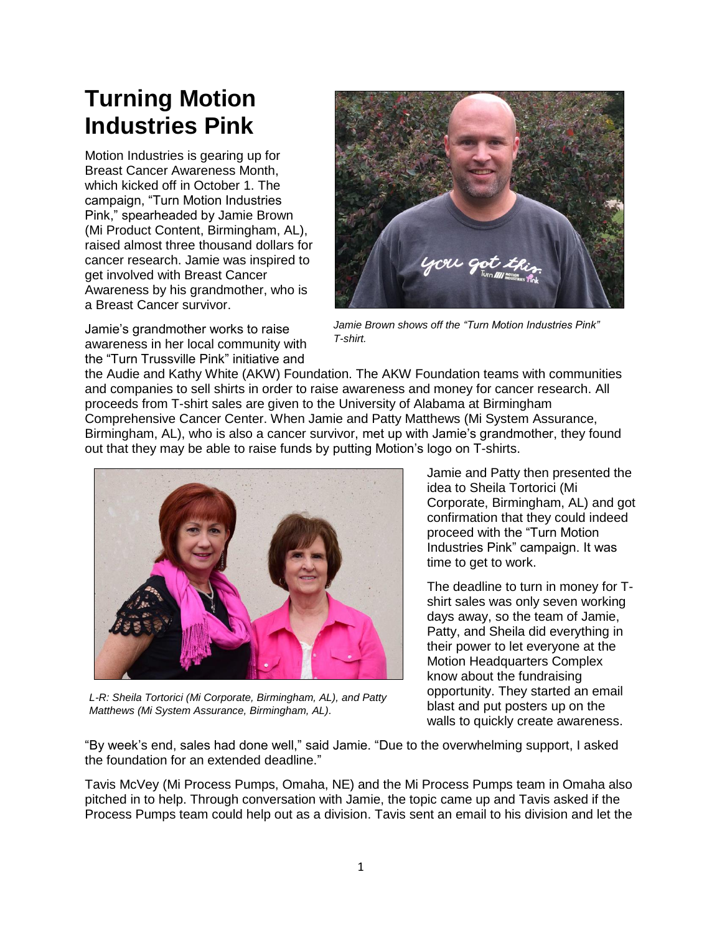## **Turning Motion Industries Pink**

Motion Industries is gearing up for Breast Cancer Awareness Month, which kicked off in October 1. The campaign, "Turn Motion Industries Pink," spearheaded by Jamie Brown (Mi Product Content, Birmingham, AL), raised almost three thousand dollars for cancer research. Jamie was inspired to get involved with Breast Cancer Awareness by his grandmother, who is a Breast Cancer survivor.



Jamie's grandmother works to raise awareness in her local community with the "Turn Trussville Pink" initiative and

*Jamie Brown shows off the "Turn Motion Industries Pink" T-shirt.*

the Audie and Kathy White (AKW) Foundation. The AKW Foundation teams with communities and companies to sell shirts in order to raise awareness and money for cancer research. All proceeds from T-shirt sales are given to the University of Alabama at Birmingham Comprehensive Cancer Center. When Jamie and Patty Matthews (Mi System Assurance, Birmingham, AL), who is also a cancer survivor, met up with Jamie's grandmother, they found out that they may be able to raise funds by putting Motion's logo on T-shirts.



*L-R: Sheila Tortorici (Mi Corporate, Birmingham, AL), and Patty Matthews (Mi System Assurance, Birmingham, AL).*

Jamie and Patty then presented the idea to Sheila Tortorici (Mi Corporate, Birmingham, AL) and got confirmation that they could indeed proceed with the "Turn Motion Industries Pink" campaign. It was time to get to work.

The deadline to turn in money for Tshirt sales was only seven working days away, so the team of Jamie, Patty, and Sheila did everything in their power to let everyone at the Motion Headquarters Complex know about the fundraising opportunity. They started an email blast and put posters up on the walls to quickly create awareness.

"By week's end, sales had done well," said Jamie. "Due to the overwhelming support, I asked the foundation for an extended deadline."

Tavis McVey (Mi Process Pumps, Omaha, NE) and the Mi Process Pumps team in Omaha also pitched in to help. Through conversation with Jamie, the topic came up and Tavis asked if the Process Pumps team could help out as a division. Tavis sent an email to his division and let the